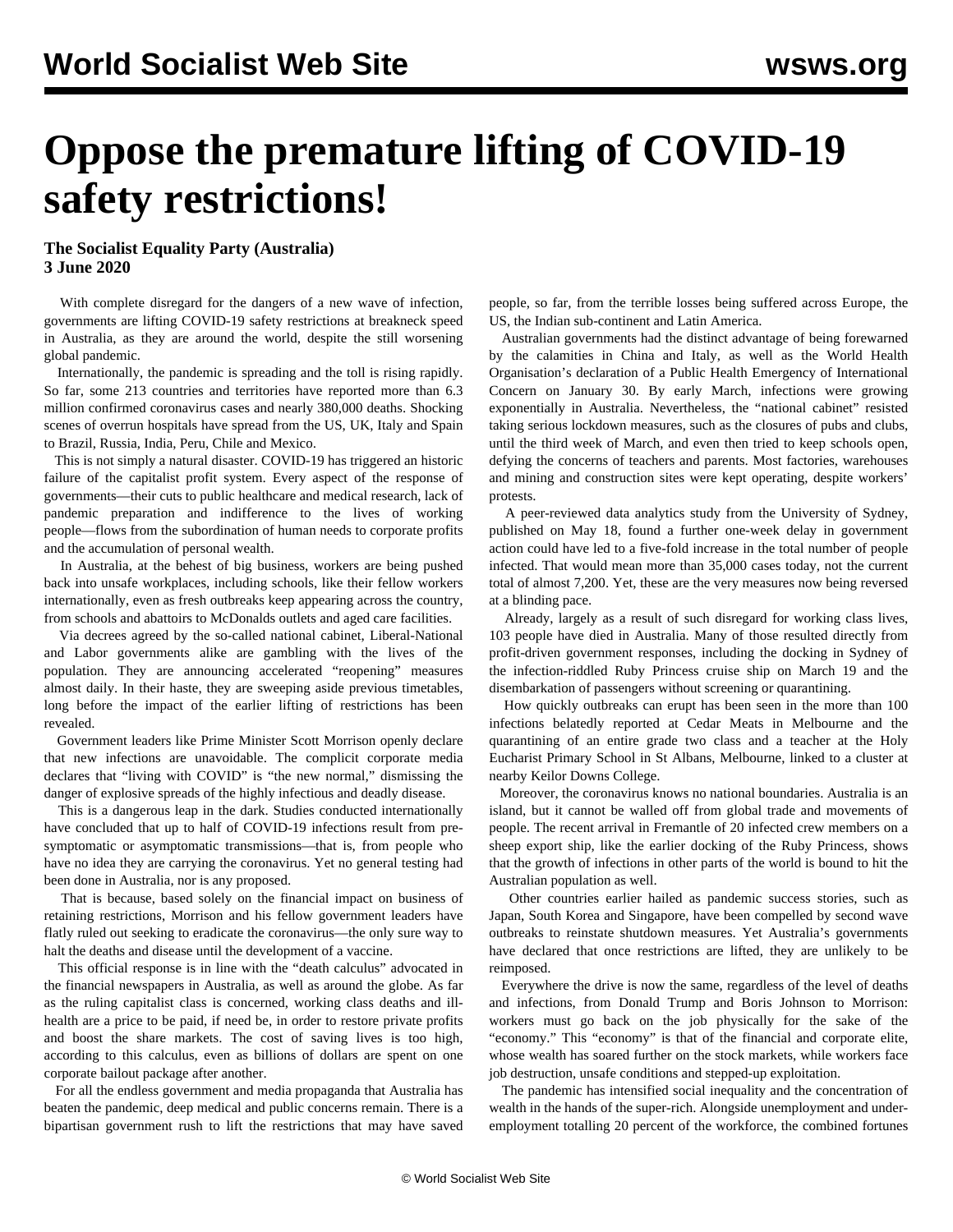# **Oppose the premature lifting of COVID-19 safety restrictions!**

### **The Socialist Equality Party (Australia) 3 June 2020**

 With complete disregard for the dangers of a new wave of infection, governments are lifting COVID-19 safety restrictions at breakneck speed in Australia, as they are around the world, despite the still worsening global pandemic.

 Internationally, the pandemic is spreading and the toll is rising rapidly. So far, some 213 countries and territories have reported more than 6.3 million confirmed coronavirus cases and nearly 380,000 deaths. Shocking scenes of overrun hospitals have spread from the US, UK, Italy and Spain to Brazil, Russia, India, Peru, Chile and Mexico.

 This is not simply a natural disaster. COVID-19 has triggered an historic failure of the capitalist profit system. Every aspect of the response of governments—their cuts to public healthcare and medical research, lack of pandemic preparation and indifference to the lives of working people—flows from the subordination of human needs to corporate profits and the accumulation of personal wealth.

 In Australia, at the behest of big business, workers are being pushed back into unsafe workplaces, including schools, like their fellow workers internationally, even as fresh outbreaks keep appearing across the country, from schools and abattoirs to McDonalds outlets and aged care facilities.

 Via decrees agreed by the so-called national cabinet, Liberal-National and Labor governments alike are gambling with the lives of the population. They are announcing accelerated "reopening" measures almost daily. In their haste, they are sweeping aside previous timetables, long before the impact of the earlier lifting of restrictions has been revealed.

 Government leaders like Prime Minister Scott Morrison openly declare that new infections are unavoidable. The complicit corporate media declares that "living with COVID" is "the new normal," dismissing the danger of explosive spreads of the highly infectious and deadly disease.

 This is a dangerous leap in the dark. Studies conducted internationally have concluded that up to half of COVID-19 infections result from presymptomatic or asymptomatic transmissions—that is, from people who have no idea they are carrying the coronavirus. Yet no general testing had been done in Australia, nor is any proposed.

 That is because, based solely on the financial impact on business of retaining restrictions, Morrison and his fellow government leaders have flatly ruled out seeking to eradicate the coronavirus—the only sure way to halt the deaths and disease until the development of a vaccine.

 This official response is in line with the "death calculus" advocated in the financial newspapers in Australia, as well as around the globe. As far as the ruling capitalist class is concerned, working class deaths and illhealth are a price to be paid, if need be, in order to restore private profits and boost the share markets. The cost of saving lives is too high, according to this calculus, even as billions of dollars are spent on one corporate bailout package after another.

 For all the endless government and media propaganda that Australia has beaten the pandemic, deep medical and public concerns remain. There is a bipartisan government rush to lift the restrictions that may have saved people, so far, from the terrible losses being suffered across Europe, the US, the Indian sub-continent and Latin America.

 Australian governments had the distinct advantage of being forewarned by the calamities in China and Italy, as well as the World Health Organisation's declaration of a Public Health Emergency of International Concern on January 30. By early March, infections were growing exponentially in Australia. Nevertheless, the "national cabinet" resisted taking serious lockdown measures, such as the closures of pubs and clubs, until the third week of March, and even then tried to keep schools open, defying the concerns of teachers and parents. Most factories, warehouses and mining and construction sites were kept operating, despite workers' protests.

 A peer-reviewed data analytics study from the University of Sydney, published on May 18, found a further one-week delay in government action could have led to a five-fold increase in the total number of people infected. That would mean more than 35,000 cases today, not the current total of almost 7,200. Yet, these are the very measures now being reversed at a blinding pace.

 Already, largely as a result of such disregard for working class lives, 103 people have died in Australia. Many of those resulted directly from profit-driven government responses, including the docking in Sydney of the infection-riddled Ruby Princess cruise ship on March 19 and the disembarkation of passengers without screening or quarantining.

 How quickly outbreaks can erupt has been seen in the more than 100 infections belatedly reported at Cedar Meats in Melbourne and the quarantining of an entire grade two class and a teacher at the Holy Eucharist Primary School in St Albans, Melbourne, linked to a cluster at nearby Keilor Downs College.

 Moreover, the coronavirus knows no national boundaries. Australia is an island, but it cannot be walled off from global trade and movements of people. The recent arrival in Fremantle of 20 infected crew members on a sheep export ship, like the earlier docking of the Ruby Princess, shows that the growth of infections in other parts of the world is bound to hit the Australian population as well.

 Other countries earlier hailed as pandemic success stories, such as Japan, South Korea and Singapore, have been compelled by second wave outbreaks to reinstate shutdown measures. Yet Australia's governments have declared that once restrictions are lifted, they are unlikely to be reimposed.

 Everywhere the drive is now the same, regardless of the level of deaths and infections, from Donald Trump and Boris Johnson to Morrison: workers must go back on the job physically for the sake of the "economy." This "economy" is that of the financial and corporate elite, whose wealth has soared further on the stock markets, while workers face job destruction, unsafe conditions and stepped-up exploitation.

 The pandemic has intensified social inequality and the concentration of wealth in the hands of the super-rich. Alongside unemployment and underemployment totalling 20 percent of the workforce, the combined fortunes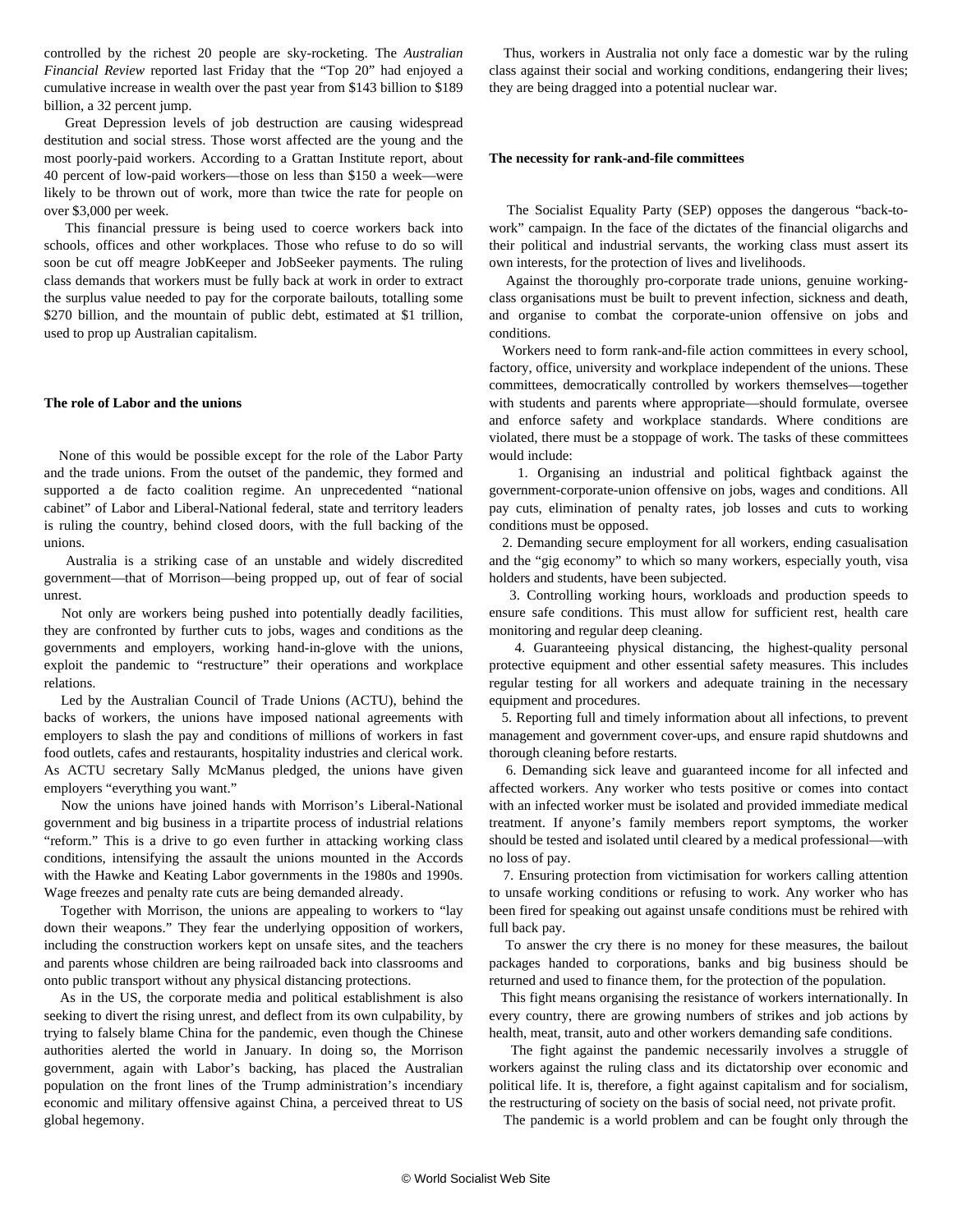controlled by the richest 20 people are sky-rocketing. The *Australian Financial Review* reported last Friday that the "Top 20" had enjoyed a cumulative increase in wealth over the past year from \$143 billion to \$189 billion, a 32 percent jump.

 Great Depression levels of job destruction are causing widespread destitution and social stress. Those worst affected are the young and the most poorly-paid workers. According to a Grattan Institute report, about 40 percent of low-paid workers—those on less than \$150 a week—were likely to be thrown out of work, more than twice the rate for people on over \$3,000 per week.

 This financial pressure is being used to coerce workers back into schools, offices and other workplaces. Those who refuse to do so will soon be cut off meagre JobKeeper and JobSeeker payments. The ruling class demands that workers must be fully back at work in order to extract the surplus value needed to pay for the corporate bailouts, totalling some \$270 billion, and the mountain of public debt, estimated at \$1 trillion, used to prop up Australian capitalism.

#### **The role of Labor and the unions**

 None of this would be possible except for the role of the Labor Party and the trade unions. From the outset of the pandemic, they formed and supported a de facto coalition regime. An unprecedented "national cabinet" of Labor and Liberal-National federal, state and territory leaders is ruling the country, behind closed doors, with the full backing of the unions.

 Australia is a striking case of an unstable and widely discredited government—that of Morrison—being propped up, out of fear of social unrest.

 Not only are workers being pushed into potentially deadly facilities, they are confronted by further cuts to jobs, wages and conditions as the governments and employers, working hand-in-glove with the unions, exploit the pandemic to "restructure" their operations and workplace relations.

 Led by the Australian Council of Trade Unions (ACTU), behind the backs of workers, the unions have imposed national agreements with employers to slash the pay and conditions of millions of workers in fast food outlets, cafes and restaurants, hospitality industries and clerical work. As ACTU secretary Sally McManus pledged, the unions have given employers "everything you want."

 Now the unions have joined hands with Morrison's Liberal-National government and big business in a tripartite process of industrial relations "reform." This is a drive to go even further in attacking working class conditions, intensifying the assault the unions mounted in the Accords with the Hawke and Keating Labor governments in the 1980s and 1990s. Wage freezes and penalty rate cuts are being demanded already.

 Together with Morrison, the unions are appealing to workers to "lay down their weapons." They fear the underlying opposition of workers, including the construction workers kept on unsafe sites, and the teachers and parents whose children are being railroaded back into classrooms and onto public transport without any physical distancing protections.

 As in the US, the corporate media and political establishment is also seeking to divert the rising unrest, and deflect from its own culpability, by trying to falsely blame China for the pandemic, even though the Chinese authorities alerted the world in January. In doing so, the Morrison government, again with Labor's backing, has placed the Australian population on the front lines of the Trump administration's incendiary economic and military offensive against China, a perceived threat to US global hegemony.

 Thus, workers in Australia not only face a domestic war by the ruling class against their social and working conditions, endangering their lives; they are being dragged into a potential nuclear war.

#### **The necessity for rank-and-file committees**

 The Socialist Equality Party (SEP) opposes the dangerous "back-towork" campaign. In the face of the dictates of the financial oligarchs and their political and industrial servants, the working class must assert its own interests, for the protection of lives and livelihoods.

 Against the thoroughly pro-corporate trade unions, genuine workingclass organisations must be built to prevent infection, sickness and death, and organise to combat the corporate-union offensive on jobs and conditions.

 Workers need to form rank-and-file action committees in every school, factory, office, university and workplace independent of the unions. These committees, democratically controlled by workers themselves—together with students and parents where appropriate—should formulate, oversee and enforce safety and workplace standards. Where conditions are violated, there must be a stoppage of work. The tasks of these committees would include:

 1. Organising an industrial and political fightback against the government-corporate-union offensive on jobs, wages and conditions. All pay cuts, elimination of penalty rates, job losses and cuts to working conditions must be opposed.

 2. Demanding secure employment for all workers, ending casualisation and the "gig economy" to which so many workers, especially youth, visa holders and students, have been subjected.

 3. Controlling working hours, workloads and production speeds to ensure safe conditions. This must allow for sufficient rest, health care monitoring and regular deep cleaning.

 4. Guaranteeing physical distancing, the highest-quality personal protective equipment and other essential safety measures. This includes regular testing for all workers and adequate training in the necessary equipment and procedures.

 5. Reporting full and timely information about all infections, to prevent management and government cover-ups, and ensure rapid shutdowns and thorough cleaning before restarts.

 6. Demanding sick leave and guaranteed income for all infected and affected workers. Any worker who tests positive or comes into contact with an infected worker must be isolated and provided immediate medical treatment. If anyone's family members report symptoms, the worker should be tested and isolated until cleared by a medical professional—with no loss of pay.

 7. Ensuring protection from victimisation for workers calling attention to unsafe working conditions or refusing to work. Any worker who has been fired for speaking out against unsafe conditions must be rehired with full back pay.

 To answer the cry there is no money for these measures, the bailout packages handed to corporations, banks and big business should be returned and used to finance them, for the protection of the population.

 This fight means organising the resistance of workers internationally. In every country, there are growing numbers of strikes and job actions by health, meat, transit, auto and other workers demanding safe conditions.

 The fight against the pandemic necessarily involves a struggle of workers against the ruling class and its dictatorship over economic and political life. It is, therefore, a fight against capitalism and for socialism, the restructuring of society on the basis of social need, not private profit.

The pandemic is a world problem and can be fought only through the